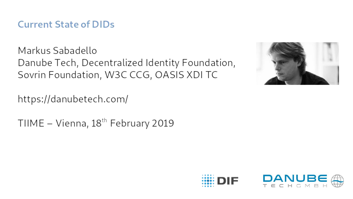#### **Current State of DIDs**

Markus Sabadello Danube Tech, Decentralized Identity Foundation, Sovrin Foundation, W3C CCG, OASIS XDI TC



https://danubetech.com/

TIIME - Vienna,  $18^{th}$  February 2019

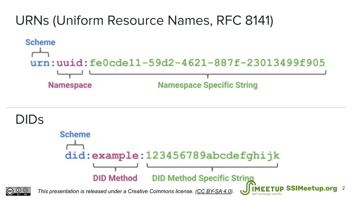

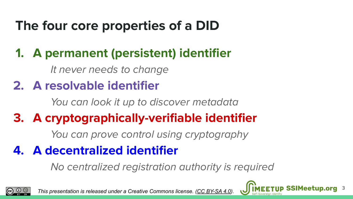## **The four core properties of a DID**

#### **1. A permanent (persistent) identifier**

It never needs to change

#### **2. A resolvable identifier**

You can look it up to discover metadata

### **3. A cryptographically-verifiable identifier**

You can prove control using cryptography

#### **4. A decentralized identifier**

No centralized registration authority is required



*This presentation is released under a Creative Commons license. (CC BY-SA 4* 

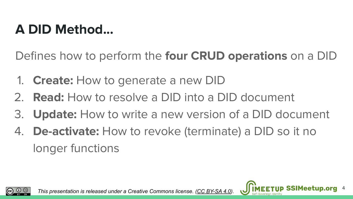## **A DID Method...**

Defines how to perform the **four CRUD operations** on a DID

- 1. **Create:** How to generate a new DID
- 2. **Read:** How to resolve a DID into a DID document
- 3. **Update:** How to write a new version of a DID document

4

4. **De-activate:** How to revoke (terminate) a DID so it no longer functions

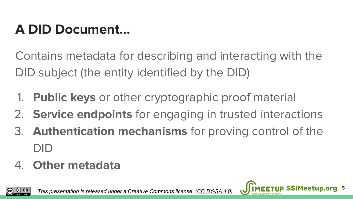## **A DID Document...**

Contains metadata for describing and interacting with the DID subject (the entity identified by the DID)

- 1. **Public keys** or other cryptographic proof material
- 2. **Service endpoints** for engaging in trusted interactions
- 3. **Authentication mechanisms** for proving control of the DID
- 4. **Other metadata**



*This presentation is released under a Creative Commons license. ([CC BY-SA 4.0\)](https://creativecommons.org/licenses/by-sa/4.0/)* 

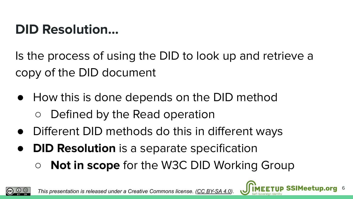## **DID Resolution...**

Is the process of using the DID to look up and retrieve a copy of the DID document

- How this is done depends on the DID method ○ Defined by the Read operation
- Different DID methods do this in different ways
- **DID Resolution** is a separate specification
	- **Not in scope** for the W3C DID Working Group

6



*This presentation is released under a Creative Commons license. (CC BY-SA 4.*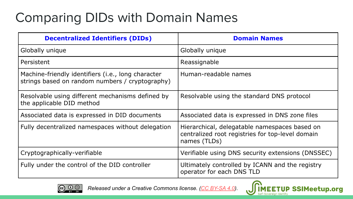## Comparing DIDs with Domain Names

| <b>Decentralized Identifiers (DIDs)</b>                                                               | <b>Domain Names</b>                                                                                               |
|-------------------------------------------------------------------------------------------------------|-------------------------------------------------------------------------------------------------------------------|
| Globally unique                                                                                       | Globally unique                                                                                                   |
| Persistent                                                                                            | Reassignable                                                                                                      |
| Machine-friendly identifiers (i.e., long character<br>strings based on random numbers / cryptography) | Human-readable names                                                                                              |
| Resolvable using different mechanisms defined by<br>the applicable DID method                         | Resolvable using the standard DNS protocol                                                                        |
| Associated data is expressed in DID documents                                                         | Associated data is expressed in DNS zone files                                                                    |
| Fully decentralized namespaces without delegation                                                     | Hierarchical, delegatable namespaces based on<br>centralized root registries for top-level domain<br>names (TLDs) |
| Cryptographically-verifiable                                                                          | Verifiable using DNS security extensions (DNSSEC)                                                                 |
| Fully under the control of the DID controller                                                         | Ultimately controlled by ICANN and the registry<br>operator for each DNS TLD                                      |



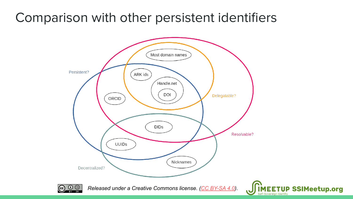#### Comparison with other persistent identifiers



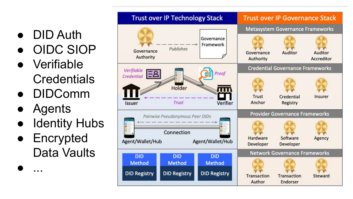- DID Auth
- OIDC SIOP
- Verifiable **Credentials**
- **DIDComm**
- **Agents**

● ...

- **Identity Hubs**
- **Encrypted** Data Vaults

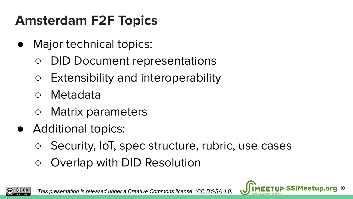## **Amsterdam F2F Topics**

- Major technical topics:
	- DID Document representations
	- Extensibility and interoperability
	- Metadata
	- Matrix parameters
- Additional topics:
	- Security, IoT, spec structure, rubric, use cases
	- Overlap with DID Resolution



**10** *This presentation is released under a Creative Commons license. ([CC BY-SA 4.0\)](https://creativecommons.org/licenses/by-sa/4.0/)*